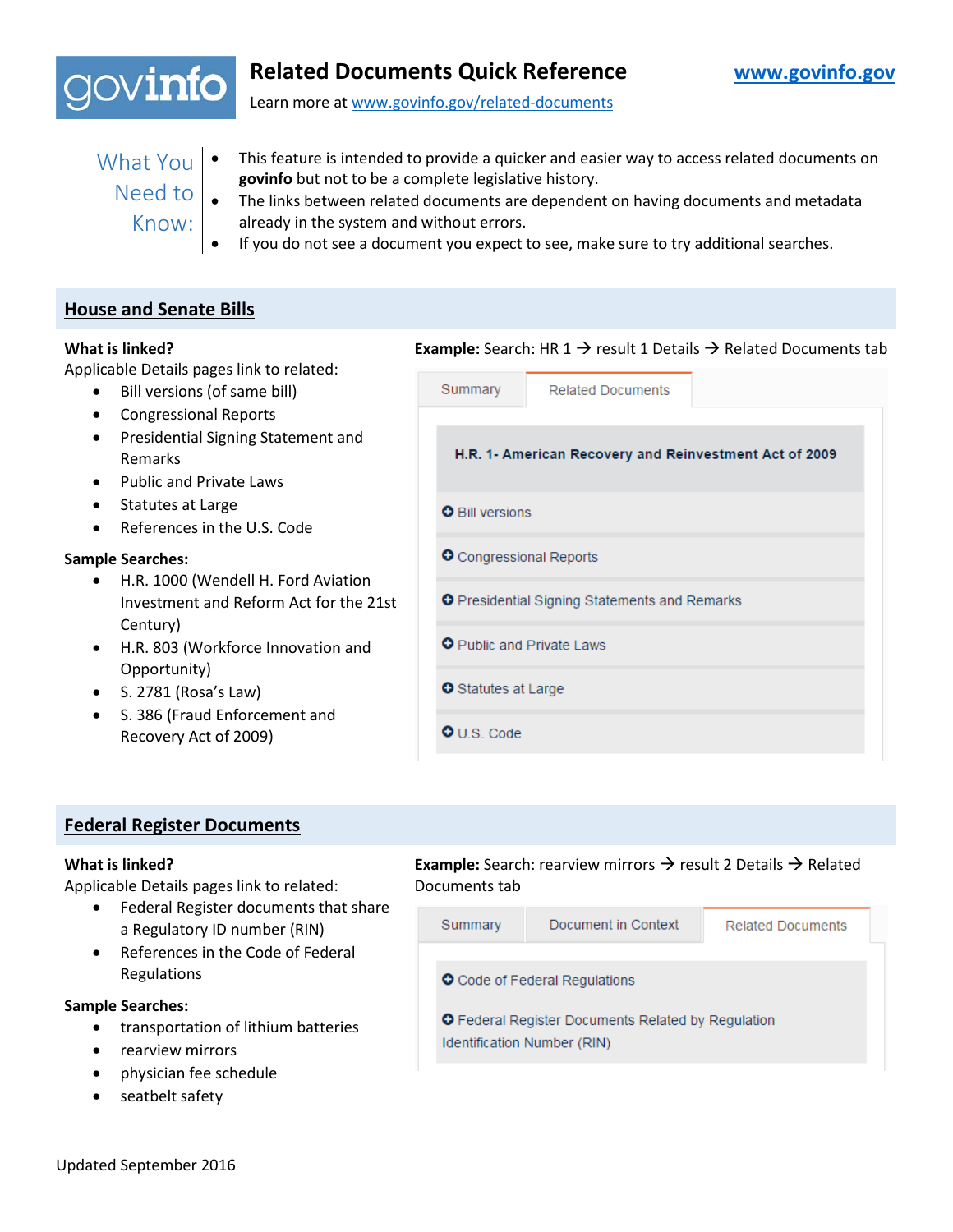

# **Related Documents Quick Reference [www.govinfo.gov](http://www.govinfo.gov/)**

Learn more at [www.govinfo.gov/related-documents](http://www.govinfo.gov/related-documents)

- 
- What You This feature is intended to provide a quicker and easier way to access related documents on **govinfo** but not to be a complete legislative history.
	- Know:
	- Need to  $\bullet$  The links between related documents are dependent on having documents and metadata already in the system and without errors.
		- If you do not see a document you expect to see, make sure to try additional searches.

### **House and Senate Bills**

#### **What is linked?**

Applicable Details pages link to related:

- Bill versions (of same bill)
- Congressional Reports
- Presidential Signing Statement and Remarks
- Public and Private Laws
- Statutes at Large
- References in the U.S. Code

#### **Sample Searches:**

- H.R. 1000 (Wendell H. Ford Aviation Investment and Reform Act for the 21st Century)
- H.R. 803 (Workforce Innovation and Opportunity)
- S. 2781 (Rosa's Law)
- S. 386 (Fraud Enforcement and Recovery Act of 2009)

| <b>Example:</b> Search: HR 1 $\rightarrow$ result 1 Details $\rightarrow$ Related Documents tab |  |  |  |  |
|-------------------------------------------------------------------------------------------------|--|--|--|--|
| Summary<br><b>Related Documents</b>                                                             |  |  |  |  |
| H.R. 1- American Recovery and Reinvestment Act of 2009                                          |  |  |  |  |
| <b>O</b> Bill versions                                                                          |  |  |  |  |
| O Congressional Reports                                                                         |  |  |  |  |
| <b>O</b> Presidential Signing Statements and Remarks                                            |  |  |  |  |
| O Public and Private Laws                                                                       |  |  |  |  |
| <b>O</b> Statutes at Large                                                                      |  |  |  |  |
| $\bullet$ U.S. Code                                                                             |  |  |  |  |
|                                                                                                 |  |  |  |  |

### **Federal Register Documents**

#### **What is linked?**

Applicable Details pages link to related:

- Federal Register documents that share a Regulatory ID number (RIN)
- References in the Code of Federal Regulations

### **Sample Searches:**

- transportation of lithium batteries
- rearview mirrors
- physician fee schedule
- seatbelt safety

**Example:** Search: rearview mirrors → result 2 Details → Related Documents tab

| Summary                                                                                  | Document in Context | <b>Related Documents</b> |  |  |  |  |
|------------------------------------------------------------------------------------------|---------------------|--------------------------|--|--|--|--|
| <b>O</b> Code of Federal Regulations                                                     |                     |                          |  |  |  |  |
| <b>O</b> Federal Register Documents Related by Regulation<br>Identification Number (RIN) |                     |                          |  |  |  |  |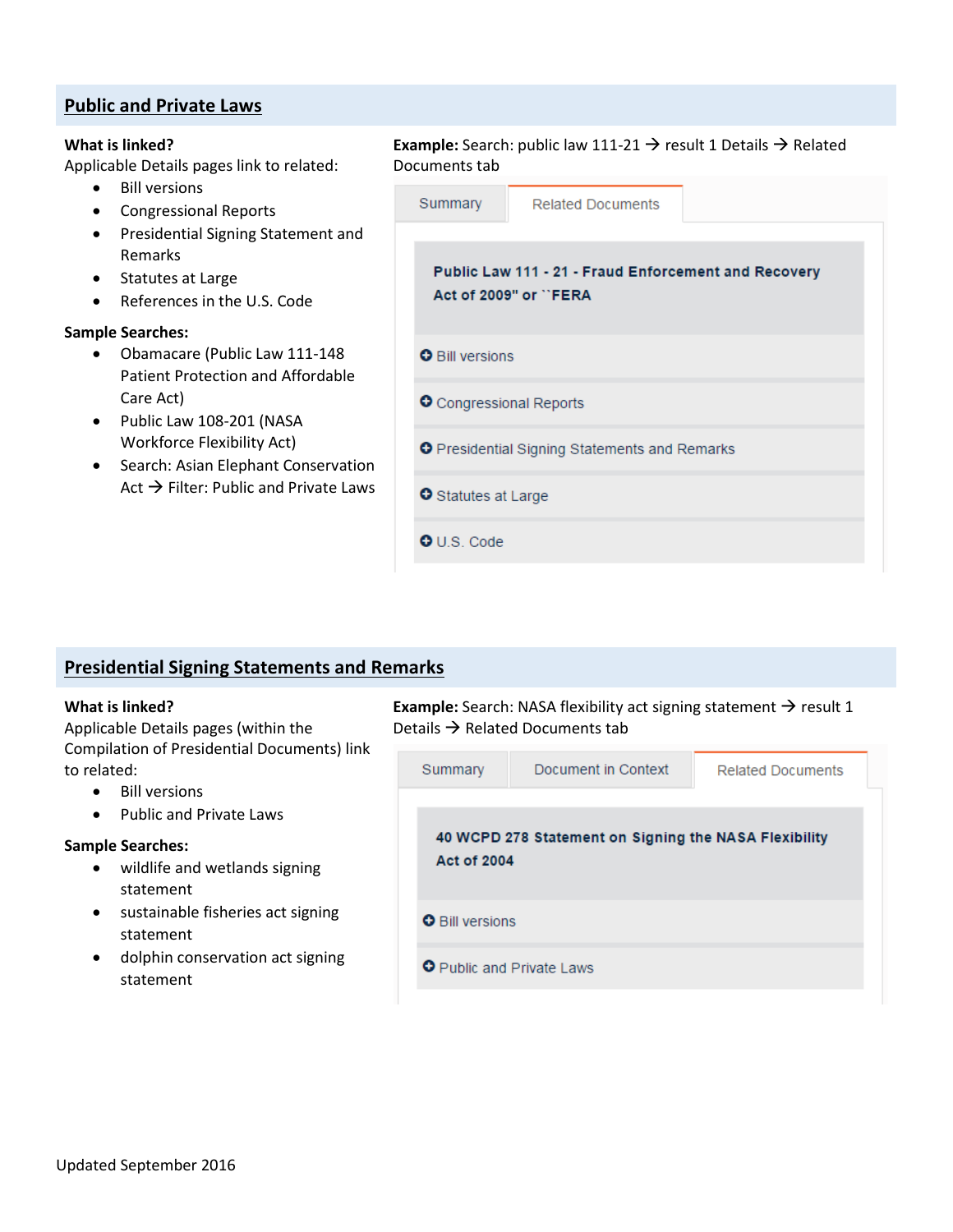### **Public and Private Laws**

#### **What is linked?**

Applicable Details pages link to related:

- Bill versions
- Congressional Reports
- Presidential Signing Statement and Remarks
- Statutes at Large
- References in the U.S. Code

#### **Sample Searches:**

- Obamacare (Public Law 111-148 Patient Protection and Affordable Care Act)
- Public Law 108-201 (NASA Workforce Flexibility Act)
- Search: Asian Elephant Conservation Act  $\rightarrow$  Filter: Public and Private Laws

| Documents tab                                        |                                                                               | <b>Example:</b> Search: public law 111-21 $\rightarrow$ result 1 Details $\rightarrow$ Related |  |  |  |
|------------------------------------------------------|-------------------------------------------------------------------------------|------------------------------------------------------------------------------------------------|--|--|--|
| Summary                                              | <b>Related Documents</b>                                                      |                                                                                                |  |  |  |
|                                                      | Public Law 111 - 21 - Fraud Enforcement and Recovery<br>Act of 2009" or "FERA |                                                                                                |  |  |  |
| <b>O</b> Bill versions                               |                                                                               |                                                                                                |  |  |  |
| O Congressional Reports                              |                                                                               |                                                                                                |  |  |  |
| <b>O</b> Presidential Signing Statements and Remarks |                                                                               |                                                                                                |  |  |  |
| <b>O</b> Statutes at Large                           |                                                                               |                                                                                                |  |  |  |
| $O \cup S$ . Code                                    |                                                                               |                                                                                                |  |  |  |

### **Presidential Signing Statements and Remarks**

#### **What is linked?**

Applicable Details pages (within the Compilation of Presidential Documents) link to related:

- Bill versions
- Public and Private Laws

#### **Sample Searches:**

- wildlife and wetlands signing statement
- sustainable fisheries act signing statement
- dolphin conservation act signing statement

Example: Search: NASA flexibility act signing statement  $\rightarrow$  result 1 Details  $\rightarrow$  Related Documents tab

| Summary                                                                     | Document in Context | <b>Related Documents</b> |  |  |  |  |
|-----------------------------------------------------------------------------|---------------------|--------------------------|--|--|--|--|
| 40 WCPD 278 Statement on Signing the NASA Flexibility<br><b>Act of 2004</b> |                     |                          |  |  |  |  |
| <b>O</b> Bill versions                                                      |                     |                          |  |  |  |  |
| <b>O</b> Public and Private Laws                                            |                     |                          |  |  |  |  |